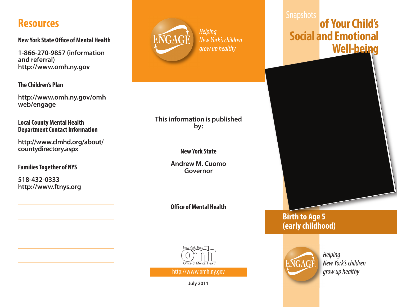## **Resources**

**New York State Office of Mental Health** 

**1-866-270-9857 (information and referral) http://www.omh.ny.gov**

**The Children's Plan**

**http://www.omh.ny.gov/omh web/engage**

**Local County Mental Health Department Contact Information** 

**http://www.clmhd.org/about/ countydirectory.aspx**

**FamiliesTogether of NYS**

**518-432-0333 http://www.ftnys.org**



## New York's children grow up healthy

#### **This information is published by:**

#### **NewYork State**

**Andrew M. Cuomo Governor**

**O.ce ofMental Health**



http://www.omh.ny.gov

**July 2011**

# **of YourChild's Social and Emotional Well-being**



### **Birth to Age 5 (earlychildhood)**



**Helping** New York's children grow up healthy